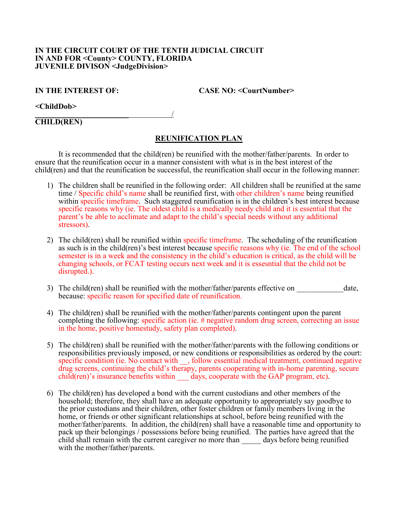## **IN THE CIRCUIT COURT OF THE TENTH JUDICIAL CIRCUIT IN AND FOR <County> COUNTY, FLORIDA JUVENILE DIVISON <JudgeDivision>**

**IN THE INTEREST OF:** CASE NO: <CourtNumber>

**<ChildDob>**

\_\_\_\_\_\_\_\_\_\_\_\_\_\_\_\_\_\_\_\_\_\_\_\_ / **CHILD(REN)**

## **REUNIFICATION PLAN**

It is recommended that the child(ren) be reunified with the mother/father/parents. In order to ensure that the reunification occur in a manner consistent with what is in the best interest of the child(ren) and that the reunification be successful, the reunification shall occur in the following manner:

- 1) The children shall be reunified in the following order: All children shall be reunified at the same time / Specific child's name shall be reunified first, with other children's name being reunified within specific timeframe. Such staggered reunification is in the children's best interest because specific reasons why (ie. The oldest child is a medically needy child and it is essential that the parent's be able to acclimate and adapt to the child's special needs without any additional stressors).
- 2) The child(ren) shall be reunified within specific timeframe. The scheduling of the reunification as such is in the child(ren)'s best interest because specific reasons why (ie. The end of the school semester is in a week and the consistency in the child's education is critical, as the child will be changing schools, or FCAT testing occurs next week and it is essesntial that the child not be disrupted.).
- 3) The child(ren) shall be reunified with the mother/father/parents effective on  $\alpha$  date, because: specific reason for specified date of reunification.
- 4) The child(ren) shall be reunified with the mother/father/parents contingent upon the parent completing the following: specific action (ie. # negative random drug screen, correcting an issue in the home, positive homestudy, safety plan completed).
- 5) The child(ren) shall be reunified with the mother/father/parents with the following conditions or responsibilities previously imposed, or new conditions or responsibilities as ordered by the court: specific condition (ie. No contact with \_\_, follow essential medical treatment, continued negative drug screens, continuing the child's therapy, parents cooperating with in-home parenting, secure child(ren)'s insurance benefits within days, cooperate with the GAP program, etc).
- 6) The child(ren) has developed a bond with the current custodians and other members of the household; therefore, they shall have an adequate opportunity to appropriately say goodbye to the prior custodians and their children, other foster children or family members living in the home, or friends or other significant relationships at school, before being reunified with the mother/father/parents. In addition, the child(ren) shall have a reasonable time and opportunity to pack up their belongings / possessions before being reunified. The parties have agreed that the child shall remain with the current caregiver no more than days before being reunified with the mother/father/parents.